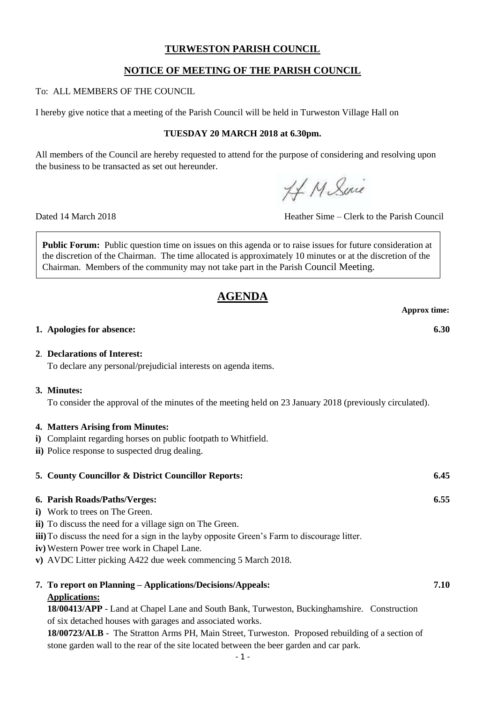## **TURWESTON PARISH COUNCIL**

# **NOTICE OF MEETING OF THE PARISH COUNCIL**

To: ALL MEMBERS OF THE COUNCIL

I hereby give notice that a meeting of the Parish Council will be held in Turweston Village Hall on

## **TUESDAY 20 MARCH 2018 at 6.30pm.**

All members of the Council are hereby requested to attend for the purpose of considering and resolving upon the business to be transacted as set out hereunder.

H. M. Suic

Dated 14 March 2018 Heather Sime – Clerk to the Parish Council

**Public Forum:** Public question time on issues on this agenda or to raise issues for future consideration at the discretion of the Chairman. The time allocated is approximately 10 minutes or at the discretion of the Chairman. Members of the community may not take part in the Parish Council Meeting.

# **AGENDA**

**Approx time:**

#### **1. Apologies for absence: 6.30**

#### **2**. **Declarations of Interest:**

To declare any personal/prejudicial interests on agenda items.

## **3. Minutes:**

To consider the approval of the minutes of the meeting held on 23 January 2018 (previously circulated).

#### **4. Matters Arising from Minutes:**

- **i)** Complaint regarding horses on public footpath to Whitfield.
- **ii)** Police response to suspected drug dealing.

| <b>5. County Councillor &amp; District Councillor Reports:</b> | 6.45 |
|----------------------------------------------------------------|------|
| 6. Parish Roads/Paths/Verges:<br>$\sim$                        | 6.55 |

- **i)** Work to trees on The Green.
- **ii)** To discuss the need for a village sign on The Green.
- **iii)**To discuss the need for a sign in the layby opposite Green's Farm to discourage litter.
- **iv)** Western Power tree work in Chapel Lane.
- **v)** AVDC Litter picking A422 due week commencing 5 March 2018.

| 7. To report on Planning – Applications/Decisions/Appeals: | $7.10\,$ |
|------------------------------------------------------------|----------|
| <b>Applications:</b>                                       |          |

**18/00413/APP** - Land at Chapel Lane and South Bank, Turweston, Buckinghamshire. Construction of six detached houses with garages and associated works.

**18/00723/ALB** - The Stratton Arms PH, Main Street, Turweston. Proposed rebuilding of a section of stone garden wall to the rear of the site located between the beer garden and car park.